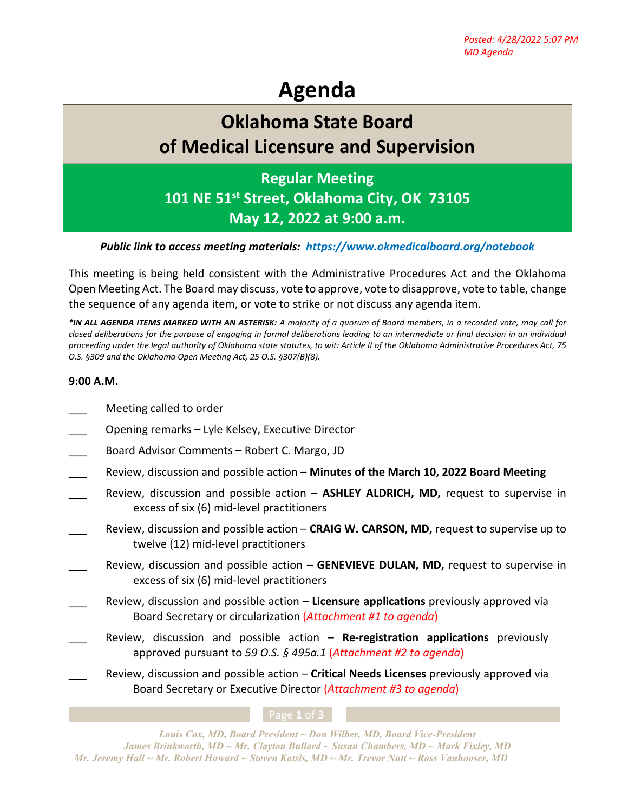# **Agenda**

## **Oklahoma State Board of Medical Licensure and Supervision**

## **Regular Meeting**

**101 NE 51st Street, Oklahoma City, OK 73105 May 12, 2022 at 9:00 a.m.**

### *Public link to access meeting materials: <https://www.okmedicalboard.org/notebook>*

This meeting is being held consistent with the Administrative Procedures Act and the Oklahoma Open Meeting Act. The Board may discuss, vote to approve, vote to disapprove, vote to table, change the sequence of any agenda item, or vote to strike or not discuss any agenda item.

*\*IN ALL AGENDA ITEMS MARKED WITH AN ASTERISK: A majority of a quorum of Board members, in a recorded vote, may call for closed deliberations for the purpose of engaging in formal deliberations leading to an intermediate or final decision in an individual proceeding under the legal authority of Oklahoma state statutes, to wit: Article II of the Oklahoma Administrative Procedures Act, 75 O.S. §309 and the Oklahoma Open Meeting Act, 25 O.S. §307(B)(8).* 

### **9:00 A.M.**

- Meeting called to order
- \_\_\_ Opening remarks Lyle Kelsey, Executive Director
- Board Advisor Comments Robert C. Margo, JD
- \_\_\_ Review, discussion and possible action **Minutes of the March 10, 2022 Board Meeting**
- Review, discussion and possible action **ASHLEY ALDRICH, MD,** request to supervise in excess of six (6) mid-level practitioners
- Review, discussion and possible action **CRAIG W. CARSON, MD,** request to supervise up to twelve (12) mid-level practitioners
- Review, discussion and possible action **GENEVIEVE DULAN, MD,** request to supervise in excess of six (6) mid-level practitioners
- \_\_\_ Review, discussion and possible action **Licensure applications** previously approved via Board Secretary or circularization (*Attachment #1 to agenda*)
	- \_\_\_ Review, discussion and possible action **Re-registration applications** previously approved pursuant to *59 O.S. § 495a.1* (*Attachment #2 to agenda*)
- \_\_\_ Review, discussion and possible action **Critical Needs Licenses** previously approved via Board Secretary or Executive Director (*Attachment #3 to agenda*)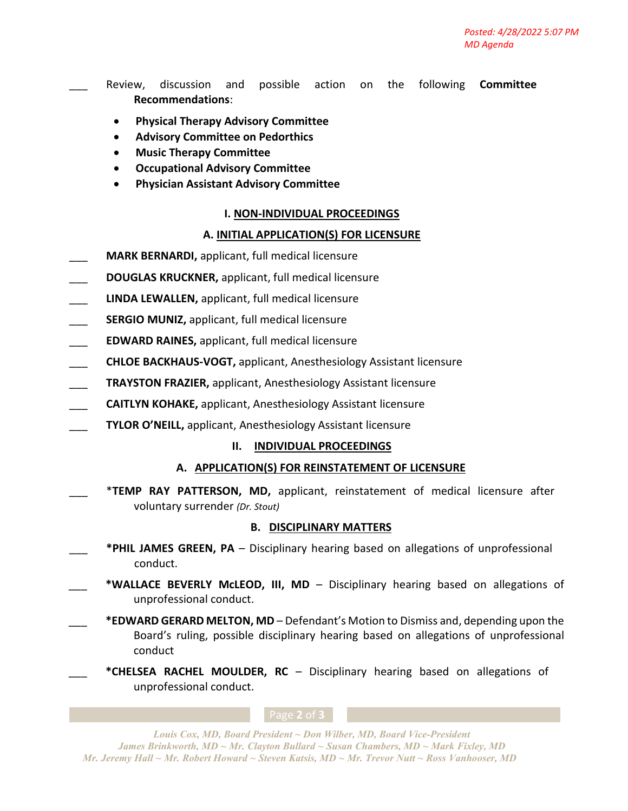\_\_\_ Review, discussion and possible action on the following **Committee Recommendations**:

- **Physical Therapy Advisory Committee**
- **Advisory Committee on Pedorthics**
- **Music Therapy Committee**
- **Occupational Advisory Committee**
- **Physician Assistant Advisory Committee**

#### **I. NON-INDIVIDUAL PROCEEDINGS**

#### **A. INITIAL APPLICATION(S) FOR LICENSURE**

- \_\_\_ **MARK BERNARDI,** applicant, full medical licensure
- \_\_\_ **DOUGLAS KRUCKNER,** applicant, full medical licensure
- \_\_\_ **LINDA LEWALLEN,** applicant, full medical licensure
- SERGIO MUNIZ, applicant, full medical licensure
- \_\_\_ **EDWARD RAINES,** applicant, full medical licensure
- \_\_\_ **CHLOE BACKHAUS-VOGT,** applicant, Anesthesiology Assistant licensure
- \_\_\_ **TRAYSTON FRAZIER,** applicant, Anesthesiology Assistant licensure
- \_\_\_ **CAITLYN KOHAKE,** applicant, Anesthesiology Assistant licensure
- \_\_\_ **TYLOR O'NEILL,** applicant, Anesthesiology Assistant licensure

#### **II. INDIVIDUAL PROCEEDINGS**

#### **A. APPLICATION(S) FOR REINSTATEMENT OF LICENSURE**

\_\_\_ \***TEMP RAY PATTERSON, MD,** applicant, reinstatement of medical licensure after voluntary surrender *(Dr. Stout)*

#### **B. DISCIPLINARY MATTERS**

- \_\_\_ **\*PHIL JAMES GREEN, PA** Disciplinary hearing based on allegations of unprofessional conduct.
- \*WALLACE BEVERLY McLEOD, III, MD Disciplinary hearing based on allegations of unprofessional conduct.
	- \_\_\_ **\*EDWARD GERARD MELTON, MD** Defendant's Motion to Dismiss and, depending upon the Board's ruling, possible disciplinary hearing based on allegations of unprofessional conduct
	- \_\_\_ **\*CHELSEA RACHEL MOULDER, RC** Disciplinary hearing based on allegations of unprofessional conduct.